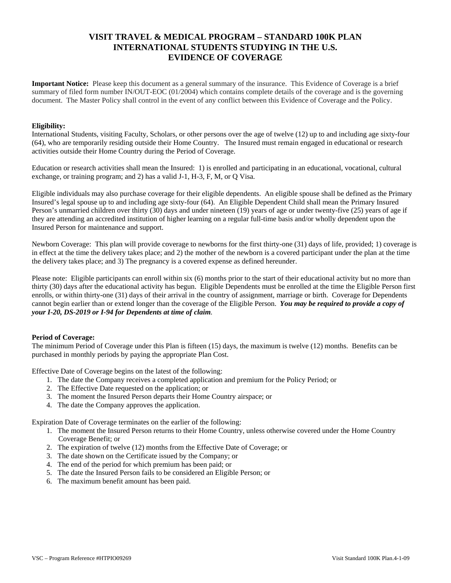# **VISIT TRAVEL & MEDICAL PROGRAM – STANDARD 100K PLAN INTERNATIONAL STUDENTS STUDYING IN THE U.S. EVIDENCE OF COVERAGE**

**Important Notice:** Please keep this document as a general summary of the insurance. This Evidence of Coverage is a brief summary of filed form number IN/OUT-EOC (01/2004) which contains complete details of the coverage and is the governing document. The Master Policy shall control in the event of any conflict between this Evidence of Coverage and the Policy.

### **Eligibility:**

International Students, visiting Faculty, Scholars, or other persons over the age of twelve (12) up to and including age sixty-four (64), who are temporarily residing outside their Home Country. The Insured must remain engaged in educational or research activities outside their Home Country during the Period of Coverage.

Education or research activities shall mean the Insured: 1) is enrolled and participating in an educational, vocational, cultural exchange, or training program; and 2) has a valid J-1, H-3, F, M, or Q Visa.

Eligible individuals may also purchase coverage for their eligible dependents. An eligible spouse shall be defined as the Primary Insured's legal spouse up to and including age sixty-four (64). An Eligible Dependent Child shall mean the Primary Insured Person's unmarried children over thirty (30) days and under nineteen (19) years of age or under twenty-five (25) years of age if they are attending an accredited institution of higher learning on a regular full-time basis and/or wholly dependent upon the Insured Person for maintenance and support.

Newborn Coverage: This plan will provide coverage to newborns for the first thirty-one (31) days of life, provided; 1) coverage is in effect at the time the delivery takes place; and 2) the mother of the newborn is a covered participant under the plan at the time the delivery takes place; and 3) The pregnancy is a covered expense as defined hereunder.

Please note: Eligible participants can enroll within six (6) months prior to the start of their educational activity but no more than thirty (30) days after the educational activity has begun. Eligible Dependents must be enrolled at the time the Eligible Person first enrolls, or within thirty-one (31) days of their arrival in the country of assignment, marriage or birth. Coverage for Dependents cannot begin earlier than or extend longer than the coverage of the Eligible Person. *You may be required to provide a copy of your I-20, DS-2019 or I-94 for Dependents at time of claim.*

## **Period of Coverage:**

The minimum Period of Coverage under this Plan is fifteen (15) days, the maximum is twelve (12) months. Benefits can be purchased in monthly periods by paying the appropriate Plan Cost.

Effective Date of Coverage begins on the latest of the following:

- 1. The date the Company receives a completed application and premium for the Policy Period; or
- 2. The Effective Date requested on the application; or
- 3. The moment the Insured Person departs their Home Country airspace; or
- 4. The date the Company approves the application.

Expiration Date of Coverage terminates on the earlier of the following:

- 1. The moment the Insured Person returns to their Home Country, unless otherwise covered under the Home Country Coverage Benefit; or
- 2. The expiration of twelve (12) months from the Effective Date of Coverage; or
- 3. The date shown on the Certificate issued by the Company; or
- 4. The end of the period for which premium has been paid; or
- 5. The date the Insured Person fails to be considered an Eligible Person; or
- 6. The maximum benefit amount has been paid.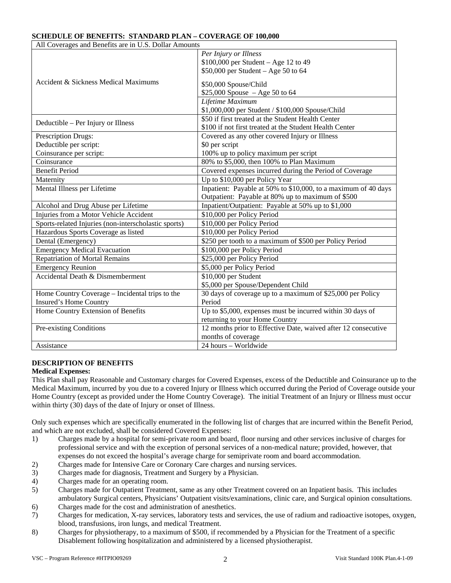## **SCHEDULE OF BENEFITS: STANDARD PLAN – COVERAGE OF 100,000**

| All Coverages and Benefits are in U.S. Dollar Amounts |                                                                |  |  |  |
|-------------------------------------------------------|----------------------------------------------------------------|--|--|--|
| Accident & Sickness Medical Maximums                  | Per Injury or Illness                                          |  |  |  |
|                                                       | $$100,000$ per Student - Age 12 to 49                          |  |  |  |
|                                                       | \$50,000 per Student - Age 50 to 64                            |  |  |  |
|                                                       | \$50,000 Spouse/Child                                          |  |  |  |
|                                                       | $$25,000$ Spouse $-A$ ge 50 to 64                              |  |  |  |
|                                                       | Lifetime Maximum                                               |  |  |  |
|                                                       | \$1,000,000 per Student / \$100,000 Spouse/Child               |  |  |  |
| Deductible – Per Injury or Illness                    | \$50 if first treated at the Student Health Center             |  |  |  |
|                                                       | \$100 if not first treated at the Student Health Center        |  |  |  |
| Prescription Drugs:                                   | Covered as any other covered Injury or Illness                 |  |  |  |
| Deductible per script:                                | \$0 per script                                                 |  |  |  |
| Coinsurance per script:                               | 100% up to policy maximum per script                           |  |  |  |
| Coinsurance                                           | 80% to \$5,000, then 100% to Plan Maximum                      |  |  |  |
| <b>Benefit Period</b>                                 | Covered expenses incurred during the Period of Coverage        |  |  |  |
| Maternity                                             | Up to \$10,000 per Policy Year                                 |  |  |  |
| Mental Illness per Lifetime                           | Inpatient: Payable at 50% to \$10,000, to a maximum of 40 days |  |  |  |
|                                                       | Outpatient: Payable at 80% up to maximum of \$500              |  |  |  |
| Alcohol and Drug Abuse per Lifetime                   | Inpatient/Outpatient: Payable at 50% up to \$1,000             |  |  |  |
| Injuries from a Motor Vehicle Accident                | \$10,000 per Policy Period                                     |  |  |  |
| Sports-related Injuries (non-interscholastic sports)  | \$10,000 per Policy Period                                     |  |  |  |
| Hazardous Sports Coverage as listed                   | \$10,000 per Policy Period                                     |  |  |  |
| Dental (Emergency)                                    | \$250 per tooth to a maximum of \$500 per Policy Period        |  |  |  |
| <b>Emergency Medical Evacuation</b>                   | \$100,000 per Policy Period                                    |  |  |  |
| <b>Repatriation of Mortal Remains</b>                 | \$25,000 per Policy Period                                     |  |  |  |
| <b>Emergency Reunion</b>                              | \$5,000 per Policy Period                                      |  |  |  |
| Accidental Death & Dismemberment                      | $\overline{$10,000}$ per Student                               |  |  |  |
|                                                       | \$5,000 per Spouse/Dependent Child                             |  |  |  |
| Home Country Coverage – Incidental trips to the       | 30 days of coverage up to a maximum of \$25,000 per Policy     |  |  |  |
| <b>Insured's Home Country</b>                         | Period                                                         |  |  |  |
| Home Country Extension of Benefits                    | Up to \$5,000, expenses must be incurred within 30 days of     |  |  |  |
|                                                       | returning to your Home Country                                 |  |  |  |
| Pre-existing Conditions                               | 12 months prior to Effective Date, waived after 12 consecutive |  |  |  |
|                                                       | months of coverage                                             |  |  |  |
| Assistance                                            | 24 hours - Worldwide                                           |  |  |  |

## **DESCRIPTION OF BENEFITS**

## **Medical Expenses:**

This Plan shall pay Reasonable and Customary charges for Covered Expenses, excess of the Deductible and Coinsurance up to the Medical Maximum, incurred by you due to a covered Injury or Illness which occurred during the Period of Coverage outside your Home Country (except as provided under the Home Country Coverage). The initial Treatment of an Injury or Illness must occur within thirty (30) days of the date of Injury or onset of Illness.

Only such expenses which are specifically enumerated in the following list of charges that are incurred within the Benefit Period, and which are not excluded, shall be considered Covered Expenses:

- 1) Charges made by a hospital for semi-private room and board, floor nursing and other services inclusive of charges for professional service and with the exception of personal services of a non-medical nature; provided, however, that expenses do not exceed the hospital's average charge for semiprivate room and board accommodation.
- 2) Charges made for Intensive Care or Coronary Care charges and nursing services.
- 3) Charges made for diagnosis, Treatment and Surgery by a Physician.
- 4) Charges made for an operating room.
- 5) Charges made for Outpatient Treatment, same as any other Treatment covered on an Inpatient basis. This includes ambulatory Surgical centers, Physicians' Outpatient visits/examinations, clinic care, and Surgical opinion consultations.
- 6) Charges made for the cost and administration of anesthetics.
- 7) Charges for medication, X-ray services, laboratory tests and services, the use of radium and radioactive isotopes, oxygen, blood, transfusions, iron lungs, and medical Treatment.
- 8) Charges for physiotherapy, to a maximum of \$500, if recommended by a Physician for the Treatment of a specific Disablement following hospitalization and administered by a licensed physiotherapist.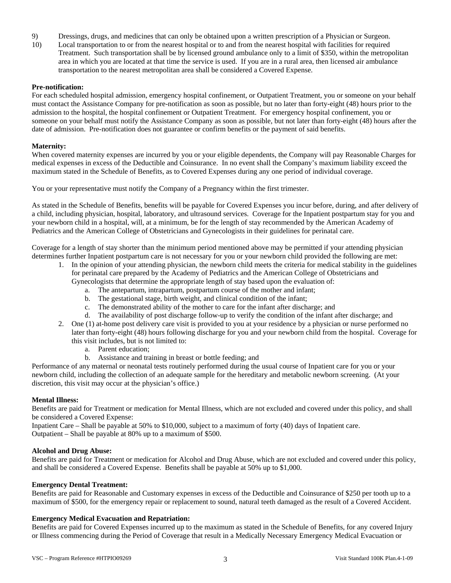- 9) Dressings, drugs, and medicines that can only be obtained upon a written prescription of a Physician or Surgeon.
- 10) Local transportation to or from the nearest hospital or to and from the nearest hospital with facilities for required Treatment. Such transportation shall be by licensed ground ambulance only to a limit of \$350, within the metropolitan area in which you are located at that time the service is used. If you are in a rural area, then licensed air ambulance transportation to the nearest metropolitan area shall be considered a Covered Expense.

### **Pre-notification:**

For each scheduled hospital admission, emergency hospital confinement, or Outpatient Treatment, you or someone on your behalf must contact the Assistance Company for pre-notification as soon as possible, but no later than forty-eight (48) hours prior to the admission to the hospital, the hospital confinement or Outpatient Treatment. For emergency hospital confinement, you or someone on your behalf must notify the Assistance Company as soon as possible, but not later than forty-eight (48) hours after the date of admission. Pre-notification does not guarantee or confirm benefits or the payment of said benefits.

### **Maternity:**

When covered maternity expenses are incurred by you or your eligible dependents, the Company will pay Reasonable Charges for medical expenses in excess of the Deductible and Coinsurance. In no event shall the Company's maximum liability exceed the maximum stated in the Schedule of Benefits, as to Covered Expenses during any one period of individual coverage.

You or your representative must notify the Company of a Pregnancy within the first trimester.

As stated in the Schedule of Benefits, benefits will be payable for Covered Expenses you incur before, during, and after delivery of a child, including physician, hospital, laboratory, and ultrasound services. Coverage for the Inpatient postpartum stay for you and your newborn child in a hospital, will, at a minimum, be for the length of stay recommended by the American Academy of Pediatrics and the American College of Obstetricians and Gynecologists in their guidelines for perinatal care.

Coverage for a length of stay shorter than the minimum period mentioned above may be permitted if your attending physician determines further Inpatient postpartum care is not necessary for you or your newborn child provided the following are met:

- 1. In the opinion of your attending physician, the newborn child meets the criteria for medical stability in the guidelines for perinatal care prepared by the Academy of Pediatrics and the American College of Obstetricians and
	- Gynecologists that determine the appropriate length of stay based upon the evaluation of:
		- a. The antepartum, intrapartum, postpartum course of the mother and infant;
		- b. The gestational stage, birth weight, and clinical condition of the infant;
		- c. The demonstrated ability of the mother to care for the infant after discharge; and
		- d. The availability of post discharge follow-up to verify the condition of the infant after discharge; and
- 2. One (1) at-home post delivery care visit is provided to you at your residence by a physician or nurse performed no later than forty-eight (48) hours following discharge for you and your newborn child from the hospital. Coverage for this visit includes, but is not limited to:
	- a. Parent education;
	- b. Assistance and training in breast or bottle feeding; and

Performance of any maternal or neonatal tests routinely performed during the usual course of Inpatient care for you or your newborn child, including the collection of an adequate sample for the hereditary and metabolic newborn screening. (At your discretion, this visit may occur at the physician's office.)

### **Mental Illness:**

Benefits are paid for Treatment or medication for Mental Illness, which are not excluded and covered under this policy, and shall be considered a Covered Expense:

Inpatient Care – Shall be payable at 50% to \$10,000, subject to a maximum of forty (40) days of Inpatient care. Outpatient – Shall be payable at 80% up to a maximum of \$500.

### **Alcohol and Drug Abuse:**

Benefits are paid for Treatment or medication for Alcohol and Drug Abuse, which are not excluded and covered under this policy, and shall be considered a Covered Expense. Benefits shall be payable at 50% up to \$1,000.

### **Emergency Dental Treatment:**

Benefits are paid for Reasonable and Customary expenses in excess of the Deductible and Coinsurance of \$250 per tooth up to a maximum of \$500, for the emergency repair or replacement to sound, natural teeth damaged as the result of a Covered Accident.

## **Emergency Medical Evacuation and Repatriation:**

Benefits are paid for Covered Expenses incurred up to the maximum as stated in the Schedule of Benefits, for any covered Injury or Illness commencing during the Period of Coverage that result in a Medically Necessary Emergency Medical Evacuation or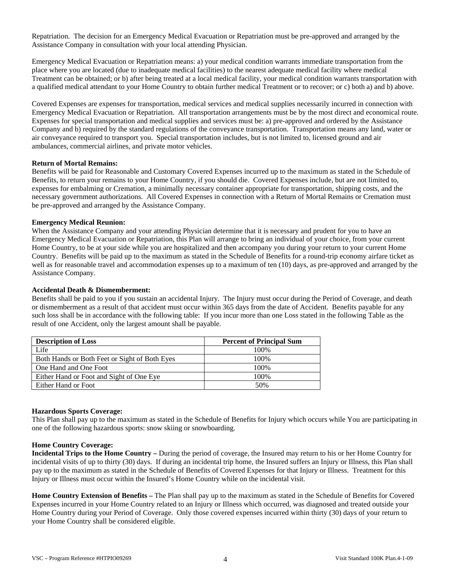Repatriation. The decision for an Emergency Medical Evacuation or Repatriation must be pre-approved and arranged by the Assistance Company in consultation with your local attending Physician.

Emergency Medical Evacuation or Repatriation means: a) your medical condition warrants immediate transportation from the place where you are located (due to inadequate medical facilities) to the nearest adequate medical facility where medical Treatment can be obtained; or b) after being treated at a local medical facility, your medical condition warrants transportation with a qualified medical attendant to your Home Country to obtain further medical Treatment or to recover; or c) both a) and b) above.

Covered Expenses are expenses for transportation, medical services and medical supplies necessarily incurred in connection with Emergency Medical Evacuation or Repatriation. All transportation arrangements must be by the most direct and economical route. Expenses for special transportation and medical supplies and services must be: a) pre-approved and ordered by the Assistance Company and b) required by the standard regulations of the conveyance transportation. Transportation means any land, water or air conveyance required to transport you. Special transportation includes, but is not limited to, licensed ground and air ambulances, commercial airlines, and private motor vehicles.

### **Return of Mortal Remains:**

Benefits will be paid for Reasonable and Customary Covered Expenses incurred up to the maximum as stated in the Schedule of Benefits, to return your remains to your Home Country, if you should die. Covered Expenses include, but are not limited to, expenses for embalming or Cremation, a minimally necessary container appropriate for transportation, shipping costs, and the necessary government authorizations. All Covered Expenses in connection with a Return of Mortal Remains or Cremation must be pre-approved and arranged by the Assistance Company.

### **Emergency Medical Reunion:**

When the Assistance Company and your attending Physician determine that it is necessary and prudent for you to have an Emergency Medical Evacuation or Repatriation, this Plan will arrange to bring an individual of your choice, from your current Home Country, to be at your side while you are hospitalized and then accompany you during your return to your current Home Country. Benefits will be paid up to the maximum as stated in the Schedule of Benefits for a round-trip economy airfare ticket as well as for reasonable travel and accommodation expenses up to a maximum of ten (10) days, as pre-approved and arranged by the Assistance Company.

### **Accidental Death & Dismemberment:**

Benefits shall be paid to you if you sustain an accidental Injury. The Injury must occur during the Period of Coverage, and death or dismemberment as a result of that accident must occur within 365 days from the date of Accident. Benefits payable for any such loss shall be in accordance with the following table: If you incur more than one Loss stated in the following Table as the result of one Accident, only the largest amount shall be payable.

| <b>Description of Loss</b>                    | <b>Percent of Principal Sum</b> |  |  |
|-----------------------------------------------|---------------------------------|--|--|
| Life                                          | 100\%                           |  |  |
| Both Hands or Both Feet or Sight of Both Eyes | 100\%                           |  |  |
| One Hand and One Foot                         | 100\%                           |  |  |
| Either Hand or Foot and Sight of One Eye      | 100%                            |  |  |
| Either Hand or Foot                           | 50%                             |  |  |

### **Hazardous Sports Coverage:**

This Plan shall pay up to the maximum as stated in the Schedule of Benefits for Injury which occurs while You are participating in one of the following hazardous sports: snow skiing or snowboarding.

### **Home Country Coverage:**

**Incidental Trips to the Home Country –** During the period of coverage, the Insured may return to his or her Home Country for incidental visits of up to thirty (30) days. If during an incidental trip home, the Insured suffers an Injury or Illness, this Plan shall pay up to the maximum as stated in the Schedule of Benefits of Covered Expenses for that Injury or Illness. Treatment for this Injury or Illness must occur within the Insured's Home Country while on the incidental visit.

**Home Country Extension of Benefits –** The Plan shall pay up to the maximum as stated in the Schedule of Benefits for Covered Expenses incurred in your Home Country related to an Injury or Illness which occurred, was diagnosed and treated outside your Home Country during your Period of Coverage. Only those covered expenses incurred within thirty (30) days of your return to your Home Country shall be considered eligible.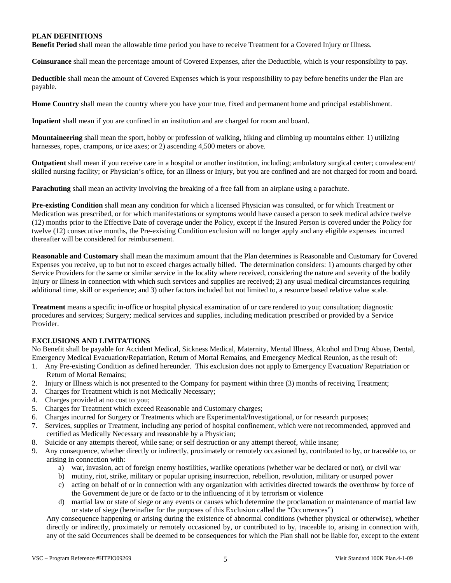## **PLAN DEFINITIONS**

**Benefit Period** shall mean the allowable time period you have to receive Treatment for a Covered Injury or Illness.

**Coinsurance** shall mean the percentage amount of Covered Expenses, after the Deductible, which is your responsibility to pay.

**Deductible** shall mean the amount of Covered Expenses which is your responsibility to pay before benefits under the Plan are payable.

**Home Country** shall mean the country where you have your true, fixed and permanent home and principal establishment.

**Inpatient** shall mean if you are confined in an institution and are charged for room and board.

**Mountaineering** shall mean the sport, hobby or profession of walking, hiking and climbing up mountains either: 1) utilizing harnesses, ropes, crampons, or ice axes; or 2) ascending 4,500 meters or above.

**Outpatient** shall mean if you receive care in a hospital or another institution, including; ambulatory surgical center; convalescent/ skilled nursing facility; or Physician's office, for an Illness or Injury, but you are confined and are not charged for room and board.

**Parachuting** shall mean an activity involving the breaking of a free fall from an airplane using a parachute.

**Pre-existing Condition** shall mean any condition for which a licensed Physician was consulted, or for which Treatment or Medication was prescribed, or for which manifestations or symptoms would have caused a person to seek medical advice twelve (12) months prior to the Effective Date of coverage under the Policy, except if the Insured Person is covered under the Policy for twelve (12) consecutive months, the Pre-existing Condition exclusion will no longer apply and any eligible expenses incurred thereafter will be considered for reimbursement.

**Reasonable and Customary** shall mean the maximum amount that the Plan determines is Reasonable and Customary for Covered Expenses you receive, up to but not to exceed charges actually billed. The determination considers: 1) amounts charged by other Service Providers for the same or similar service in the locality where received, considering the nature and severity of the bodily Injury or Illness in connection with which such services and supplies are received; 2) any usual medical circumstances requiring additional time, skill or experience; and 3) other factors included but not limited to, a resource based relative value scale.

**Treatment** means a specific in-office or hospital physical examination of or care rendered to you; consultation; diagnostic procedures and services; Surgery; medical services and supplies, including medication prescribed or provided by a Service Provider.

## **EXCLUSIONS AND LIMITATIONS**

No Benefit shall be payable for Accident Medical, Sickness Medical, Maternity, Mental Illness, Alcohol and Drug Abuse, Dental, Emergency Medical Evacuation/Repatriation, Return of Mortal Remains, and Emergency Medical Reunion, as the result of:

- 1. Any Pre-existing Condition as defined hereunder. This exclusion does not apply to Emergency Evacuation/ Repatriation or Return of Mortal Remains;
- 2. Injury or Illness which is not presented to the Company for payment within three (3) months of receiving Treatment;
- 3. Charges for Treatment which is not Medically Necessary;
- 4. Charges provided at no cost to you;
- 5. Charges for Treatment which exceed Reasonable and Customary charges;
- 6. Charges incurred for Surgery or Treatments which are Experimental/Investigational, or for research purposes;
- 7. Services, supplies or Treatment, including any period of hospital confinement, which were not recommended, approved and certified as Medically Necessary and reasonable by a Physician;
- 8. Suicide or any attempts thereof, while sane; or self destruction or any attempt thereof, while insane;
- 9. Any consequence, whether directly or indirectly, proximately or remotely occasioned by, contributed to by, or traceable to, or arising in connection with:
	- a) war, invasion, act of foreign enemy hostilities, warlike operations (whether war be declared or not), or civil war
	- b) mutiny, riot, strike, military or popular uprising insurrection, rebellion, revolution, military or usurped power
	- c) acting on behalf of or in connection with any organization with activities directed towards the overthrow by force of the Government de jure or de facto or to the influencing of it by terrorism or violence
	- d) martial law or state of siege or any events or causes which determine the proclamation or maintenance of martial law or state of siege (hereinafter for the purposes of this Exclusion called the "Occurrences")

Any consequence happening or arising during the existence of abnormal conditions (whether physical or otherwise), whether directly or indirectly, proximately or remotely occasioned by, or contributed to by, traceable to, arising in connection with, any of the said Occurrences shall be deemed to be consequences for which the Plan shall not be liable for, except to the extent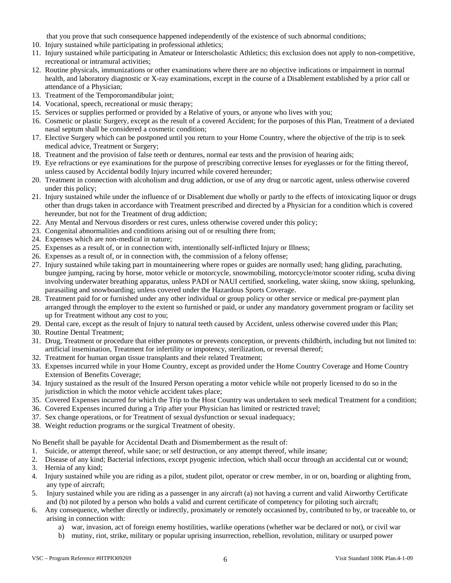that you prove that such consequence happened independently of the existence of such abnormal conditions;

- 10. Injury sustained while participating in professional athletics;
- 11. Injury sustained while participating in Amateur or Interscholastic Athletics; this exclusion does not apply to non-competitive, recreational or intramural activities;
- 12. Routine physicals, immunizations or other examinations where there are no objective indications or impairment in normal health, and laboratory diagnostic or X-ray examinations, except in the course of a Disablement established by a prior call or attendance of a Physician;
- 13. Treatment of the Temporomandibular joint;
- 14. Vocational, speech, recreational or music therapy;
- 15. Services or supplies performed or provided by a Relative of yours, or anyone who lives with you;
- 16. Cosmetic or plastic Surgery, except as the result of a covered Accident; for the purposes of this Plan, Treatment of a deviated nasal septum shall be considered a cosmetic condition;
- 17. Elective Surgery which can be postponed until you return to your Home Country, where the objective of the trip is to seek medical advice, Treatment or Surgery;
- 18. Treatment and the provision of false teeth or dentures, normal ear tests and the provision of hearing aids;
- 19. Eye refractions or eye examinations for the purpose of prescribing corrective lenses for eyeglasses or for the fitting thereof, unless caused by Accidental bodily Injury incurred while covered hereunder;
- 20. Treatment in connection with alcoholism and drug addiction, or use of any drug or narcotic agent, unless otherwise covered under this policy;
- 21. Injury sustained while under the influence of or Disablement due wholly or partly to the effects of intoxicating liquor or drugs other than drugs taken in accordance with Treatment prescribed and directed by a Physician for a condition which is covered hereunder, but not for the Treatment of drug addiction;
- 22. Any Mental and Nervous disorders or rest cures, unless otherwise covered under this policy;
- 23. Congenital abnormalities and conditions arising out of or resulting there from;
- 24. Expenses which are non-medical in nature;
- 25. Expenses as a result of, or in connection with, intentionally self-inflicted Injury or Illness;
- 26. Expenses as a result of, or in connection with, the commission of a felony offense;
- 27. Injury sustained while taking part in mountaineering where ropes or guides are normally used; hang gliding, parachuting, bungee jumping, racing by horse, motor vehicle or motorcycle, snowmobiling, motorcycle/motor scooter riding, scuba diving involving underwater breathing apparatus, unless PADI or NAUI certified, snorkeling, water skiing, snow skiing, spelunking, parasailing and snowboarding; unless covered under the Hazardous Sports Coverage.
- 28. Treatment paid for or furnished under any other individual or group policy or other service or medical pre-payment plan arranged through the employer to the extent so furnished or paid, or under any mandatory government program or facility set up for Treatment without any cost to you;
- 29. Dental care, except as the result of Injury to natural teeth caused by Accident, unless otherwise covered under this Plan;
- 30. Routine Dental Treatment;
- 31. Drug, Treatment or procedure that either promotes or prevents conception, or prevents childbirth, including but not limited to: artificial insemination, Treatment for infertility or impotency, sterilization, or reversal thereof;
- 32. Treatment for human organ tissue transplants and their related Treatment;
- 33. Expenses incurred while in your Home Country, except as provided under the Home Country Coverage and Home Country Extension of Benefits Coverage;
- 34. Injury sustained as the result of the Insured Person operating a motor vehicle while not properly licensed to do so in the jurisdiction in which the motor vehicle accident takes place;
- 35. Covered Expenses incurred for which the Trip to the Host Country was undertaken to seek medical Treatment for a condition;
- 36. Covered Expenses incurred during a Trip after your Physician has limited or restricted travel;
- 37. Sex change operations, or for Treatment of sexual dysfunction or sexual inadequacy;
- 38. Weight reduction programs or the surgical Treatment of obesity.

No Benefit shall be payable for Accidental Death and Dismemberment as the result of:

- 1. Suicide, or attempt thereof, while sane; or self destruction, or any attempt thereof, while insane;
- 2. Disease of any kind; Bacterial infections, except pyogenic infection, which shall occur through an accidental cut or wound;
- 3. Hernia of any kind;
- 4. Injury sustained while you are riding as a pilot, student pilot, operator or crew member, in or on, boarding or alighting from, any type of aircraft;
- 5. Injury sustained while you are riding as a passenger in any aircraft (a) not having a current and valid Airworthy Certificate and (b) not piloted by a person who holds a valid and current certificate of competency for piloting such aircraft;
- 6. Any consequence, whether directly or indirectly, proximately or remotely occasioned by, contributed to by, or traceable to, or arising in connection with:
	- a) war, invasion, act of foreign enemy hostilities, warlike operations (whether war be declared or not), or civil war
	- b) mutiny, riot, strike, military or popular uprising insurrection, rebellion, revolution, military or usurped power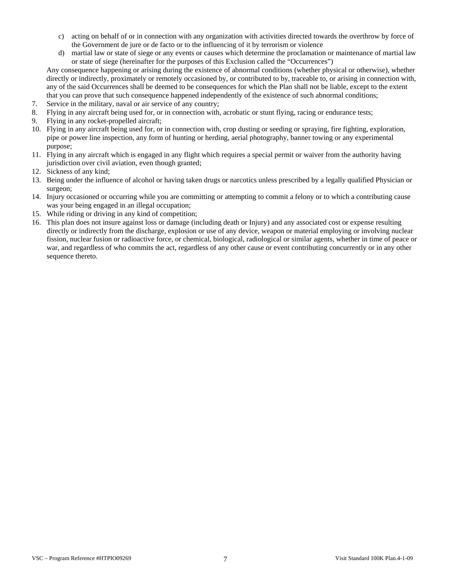- c) acting on behalf of or in connection with any organization with activities directed towards the overthrow by force of the Government de jure or de facto or to the influencing of it by terrorism or violence
- d) martial law or state of siege or any events or causes which determine the proclamation or maintenance of martial law or state of siege (hereinafter for the purposes of this Exclusion called the "Occurrences")

Any consequence happening or arising during the existence of abnormal conditions (whether physical or otherwise), whether directly or indirectly, proximately or remotely occasioned by, or contributed to by, traceable to, or arising in connection with, any of the said Occurrences shall be deemed to be consequences for which the Plan shall not be liable, except to the extent that you can prove that such consequence happened independently of the existence of such abnormal conditions;

- 7. Service in the military, naval or air service of any country;
- 8. Flying in any aircraft being used for, or in connection with, acrobatic or stunt flying, racing or endurance tests;
- 9. Flying in any rocket-propelled aircraft;
- 10. Flying in any aircraft being used for, or in connection with, crop dusting or seeding or spraying, fire fighting, exploration, pipe or power line inspection, any form of hunting or herding, aerial photography, banner towing or any experimental purpose;
- 11. Flying in any aircraft which is engaged in any flight which requires a special permit or waiver from the authority having jurisdiction over civil aviation, even though granted;
- 12. Sickness of any kind;
- 13. Being under the influence of alcohol or having taken drugs or narcotics unless prescribed by a legally qualified Physician or surgeon;
- 14. Injury occasioned or occurring while you are committing or attempting to commit a felony or to which a contributing cause was your being engaged in an illegal occupation;
- 15. While riding or driving in any kind of competition;
- 16. This plan does not insure against loss or damage (including death or Injury) and any associated cost or expense resulting directly or indirectly from the discharge, explosion or use of any device, weapon or material employing or involving nuclear fission, nuclear fusion or radioactive force, or chemical, biological, radiological or similar agents, whether in time of peace or war, and regardless of who commits the act, regardless of any other cause or event contributing concurrently or in any other sequence thereto.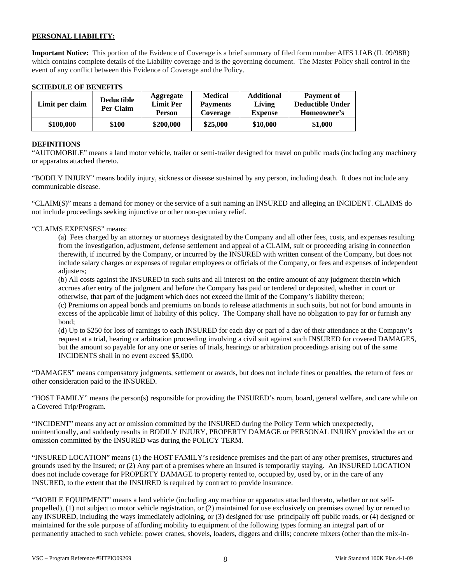## **PERSONAL LIABILITY:**

**Important Notice:** This portion of the Evidence of Coverage is a brief summary of filed form number AIFS LIAB (IL 09/98R) which contains complete details of the Liability coverage and is the governing document. The Master Policy shall control in the event of any conflict between this Evidence of Coverage and the Policy.

## **SCHEDULE OF BENEFITS**

| Limit per claim | <b>Deductible</b><br>Per Claim | Aggregate<br><b>Limit Per</b><br><b>Person</b> | <b>Medical</b><br><b>Payments</b><br>Coverage | <b>Additional</b><br>Living<br><b>Expense</b> | <b>Payment of</b><br><b>Deductible Under</b><br>Homeowner's |
|-----------------|--------------------------------|------------------------------------------------|-----------------------------------------------|-----------------------------------------------|-------------------------------------------------------------|
| \$100,000       | \$100                          | \$200,000                                      | \$25,000                                      | \$10,000                                      | \$1,000                                                     |

## **DEFINITIONS**

"AUTOMOBILE" means a land motor vehicle, trailer or semi-trailer designed for travel on public roads (including any machinery or apparatus attached thereto.

"BODILY INJURY" means bodily injury, sickness or disease sustained by any person, including death. It does not include any communicable disease.

"CLAIM(S)" means a demand for money or the service of a suit naming an INSURED and alleging an INCIDENT. CLAIMS do not include proceedings seeking injunctive or other non-pecuniary relief.

## "CLAIMS EXPENSES" means:

(a) Fees charged by an attorney or attorneys designated by the Company and all other fees, costs, and expenses resulting from the investigation, adjustment, defense settlement and appeal of a CLAIM, suit or proceeding arising in connection therewith, if incurred by the Company, or incurred by the INSURED with written consent of the Company, but does not include salary charges or expenses of regular employees or officials of the Company, or fees and expenses of independent adjusters;

(b) All costs against the INSURED in such suits and all interest on the entire amount of any judgment therein which accrues after entry of the judgment and before the Company has paid or tendered or deposited, whether in court or otherwise, that part of the judgment which does not exceed the limit of the Company's liability thereon;

(c) Premiums on appeal bonds and premiums on bonds to release attachments in such suits, but not for bond amounts in excess of the applicable limit of liability of this policy. The Company shall have no obligation to pay for or furnish any bond;

(d) Up to \$250 for loss of earnings to each INSURED for each day or part of a day of their attendance at the Company's request at a trial, hearing or arbitration proceeding involving a civil suit against such INSURED for covered DAMAGES, but the amount so payable for any one or series of trials, hearings or arbitration proceedings arising out of the same INCIDENTS shall in no event exceed \$5,000.

"DAMAGES" means compensatory judgments, settlement or awards, but does not include fines or penalties, the return of fees or other consideration paid to the INSURED.

"HOST FAMILY" means the person(s) responsible for providing the INSURED's room, board, general welfare, and care while on a Covered Trip/Program.

"INCIDENT" means any act or omission committed by the INSURED during the Policy Term which unexpectedly, unintentionally, and suddenly results in BODILY INJURY, PROPERTY DAMAGE or PERSONAL INJURY provided the act or omission committed by the INSURED was during the POLICY TERM.

"INSURED LOCATION" means (1) the HOST FAMILY's residence premises and the part of any other premises, structures and grounds used by the Insured; or (2) Any part of a premises where an Insured is temporarily staying. An INSURED LOCATION does not include coverage for PROPERTY DAMAGE to property rented to, occupied by, used by, or in the care of any INSURED, to the extent that the INSURED is required by contract to provide insurance.

"MOBILE EQUIPMENT" means a land vehicle (including any machine or apparatus attached thereto, whether or not selfpropelled), (1) not subject to motor vehicle registration, or (2) maintained for use exclusively on premises owned by or rented to any INSURED, including the ways immediately adjoining, or (3) designed for use principally off public roads, or (4) designed or maintained for the sole purpose of affording mobility to equipment of the following types forming an integral part of or permanently attached to such vehicle: power cranes, shovels, loaders, diggers and drills; concrete mixers (other than the mix-in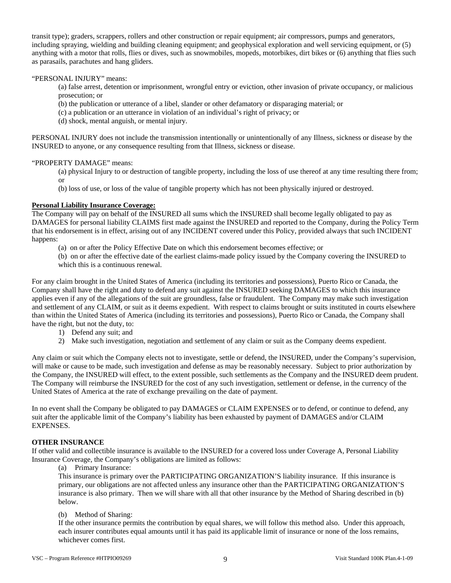transit type); graders, scrappers, rollers and other construction or repair equipment; air compressors, pumps and generators, including spraying, wielding and building cleaning equipment; and geophysical exploration and well servicing equipment, or (5) anything with a motor that rolls, flies or dives, such as snowmobiles, mopeds, motorbikes, dirt bikes or (6) anything that flies such as parasails, parachutes and hang gliders.

## "PERSONAL INJURY" means:

(a) false arrest, detention or imprisonment, wrongful entry or eviction, other invasion of private occupancy, or malicious prosecution; or

(b) the publication or utterance of a libel, slander or other defamatory or disparaging material; or

(c) a publication or an utterance in violation of an individual's right of privacy; or

(d) shock, mental anguish, or mental injury.

PERSONAL INJURY does not include the transmission intentionally or unintentionally of any Illness, sickness or disease by the INSURED to anyone, or any consequence resulting from that Illness, sickness or disease.

### "PROPERTY DAMAGE" means:

(a) physical Injury to or destruction of tangible property, including the loss of use thereof at any time resulting there from; or

(b) loss of use, or loss of the value of tangible property which has not been physically injured or destroyed.

### **Personal Liability Insurance Coverage:**

The Company will pay on behalf of the INSURED all sums which the INSURED shall become legally obligated to pay as DAMAGES for personal liability CLAIMS first made against the INSURED and reported to the Company, during the Policy Term that his endorsement is in effect, arising out of any INCIDENT covered under this Policy, provided always that such INCIDENT happens:

(a) on or after the Policy Effective Date on which this endorsement becomes effective; or

(b) on or after the effective date of the earliest claims-made policy issued by the Company covering the INSURED to which this is a continuous renewal.

For any claim brought in the United States of America (including its territories and possessions), Puerto Rico or Canada, the Company shall have the right and duty to defend any suit against the INSURED seeking DAMAGES to which this insurance applies even if any of the allegations of the suit are groundless, false or fraudulent. The Company may make such investigation and settlement of any CLAIM, or suit as it deems expedient. With respect to claims brought or suits instituted in courts elsewhere than within the United States of America (including its territories and possessions), Puerto Rico or Canada, the Company shall have the right, but not the duty, to:

- 1) Defend any suit; and
- 2) Make such investigation, negotiation and settlement of any claim or suit as the Company deems expedient.

Any claim or suit which the Company elects not to investigate, settle or defend, the INSURED, under the Company's supervision, will make or cause to be made, such investigation and defense as may be reasonably necessary. Subject to prior authorization by the Company, the INSURED will effect, to the extent possible, such settlements as the Company and the INSURED deem prudent. The Company will reimburse the INSURED for the cost of any such investigation, settlement or defense, in the currency of the United States of America at the rate of exchange prevailing on the date of payment.

In no event shall the Company be obligated to pay DAMAGES or CLAIM EXPENSES or to defend, or continue to defend, any suit after the applicable limit of the Company's liability has been exhausted by payment of DAMAGES and/or CLAIM EXPENSES.

## **OTHER INSURANCE**

If other valid and collectible insurance is available to the INSURED for a covered loss under Coverage A, Personal Liability Insurance Coverage, the Company's obligations are limited as follows:

(a) Primary Insurance:

This insurance is primary over the PARTICIPATING ORGANIZATION'S liability insurance. If this insurance is primary, our obligations are not affected unless any insurance other than the PARTICIPATING ORGANIZATION'S insurance is also primary. Then we will share with all that other insurance by the Method of Sharing described in (b) below.

## (b) Method of Sharing:

If the other insurance permits the contribution by equal shares, we will follow this method also. Under this approach, each insurer contributes equal amounts until it has paid its applicable limit of insurance or none of the loss remains, whichever comes first.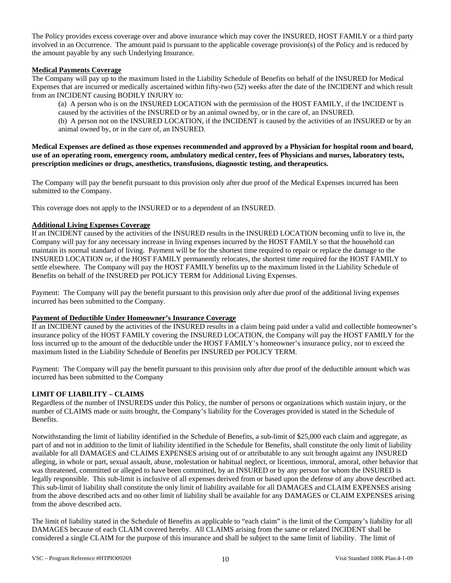The Policy provides excess coverage over and above insurance which may cover the INSURED, HOST FAMILY or a third party involved in an Occurrence. The amount paid is pursuant to the applicable coverage provision(s) of the Policy and is reduced by the amount payable by any such Underlying Insurance.

## **Medical Payments Coverage**

The Company will pay up to the maximum listed in the Liability Schedule of Benefits on behalf of the INSURED for Medical Expenses that are incurred or medically ascertained within fifty-two (52) weeks after the date of the INCIDENT and which result from an INCIDENT causing BODILY INJURY to:

(a) A person who is on the INSURED LOCATION with the permission of the HOST FAMILY, if the INCIDENT is caused by the activities of the INSURED or by an animal owned by, or in the care of, an INSURED. (b) A person not on the INSURED LOCATION, if the INCIDENT is caused by the activities of an INSURED or by an animal owned by, or in the care of, an INSURED.

**Medical Expenses are defined as those expenses recommended and approved by a Physician for hospital room and board, use of an operating room, emergency room, ambulatory medical center, fees of Physicians and nurses, laboratory tests, prescription medicines or drugs, anesthetics, transfusions, diagnostic testing, and therapeutics.** 

The Company will pay the benefit pursuant to this provision only after due proof of the Medical Expenses incurred has been submitted to the Company.

This coverage does not apply to the INSURED or to a dependent of an INSURED.

### **Additional Living Expenses Coverage**

If an INCIDENT caused by the activities of the INSURED results in the INSURED LOCATION becoming unfit to live in, the Company will pay for any necessary increase in living expenses incurred by the HOST FAMILY so that the household can maintain its normal standard of living. Payment will be for the shortest time required to repair or replace the damage to the INSURED LOCATION or, if the HOST FAMILY permanently relocates, the shortest time required for the HOST FAMILY to settle elsewhere. The Company will pay the HOST FAMILY benefits up to the maximum listed in the Liability Schedule of Benefits on behalf of the INSURED per POLICY TERM for Additional Living Expenses.

Payment: The Company will pay the benefit pursuant to this provision only after due proof of the additional living expenses incurred has been submitted to the Company.

### **Payment of Deductible Under Homeowner's Insurance Coverage**

If an INCIDENT caused by the activities of the INSURED results in a claim being paid under a valid and collectible homeowner's insurance policy of the HOST FAMILY covering the INSURED LOCATION, the Company will pay the HOST FAMILY for the loss incurred up to the amount of the deductible under the HOST FAMILY's homeowner's insurance policy, not to exceed the maximum listed in the Liability Schedule of Benefits per INSURED per POLICY TERM.

Payment: The Company will pay the benefit pursuant to this provision only after due proof of the deductible amount which was incurred has been submitted to the Company

### **LIMIT OF LIABILITY – CLAIMS**

Regardless of the number of INSUREDS under this Policy, the number of persons or organizations which sustain injury, or the number of CLAIMS made or suits brought, the Company's liability for the Coverages provided is stated in the Schedule of Benefits.

Notwithstanding the limit of liability identified in the Schedule of Benefits, a sub-limit of \$25,000 each claim and aggregate, as part of and not in addition to the limit of liability identified in the Schedule for Benefits, shall constitute the only limit of liability available for all DAMAGES and CLAIMS EXPENSES arising out of or attributable to any suit brought against any INSURED alleging, in whole or part, sexual assault, abuse, molestation or habitual neglect, or licentious, immoral, amoral, other behavior that was threatened, committed or alleged to have been committed, by an INSURED or by any person for whom the INSURED is legally responsible. This sub-limit is inclusive of all expenses derived from or based upon the defense of any above described act. This sub-limit of liability shall constitute the only limit of liability available for all DAMAGES and CLAIM EXPENSES arising from the above described acts and no other limit of liability shall be available for any DAMAGES or CLAIM EXPENSES arising from the above described acts.

The limit of liability stated in the Schedule of Benefits as applicable to "each claim" is the limit of the Company's liability for all DAMAGES because of each CLAIM covered hereby. All CLAIMS arising from the same or related INCIDENT shall be considered a single CLAIM for the purpose of this insurance and shall be subject to the same limit of liability. The limit of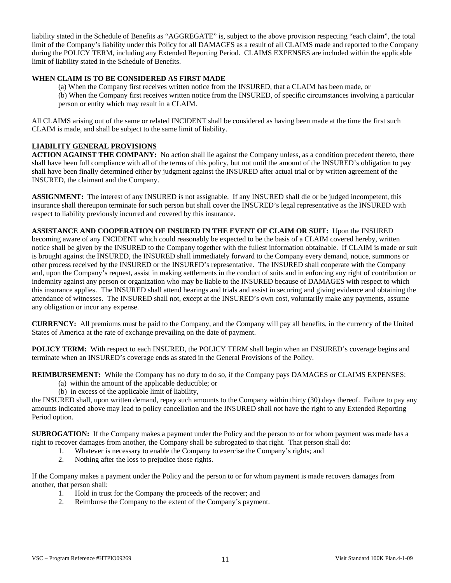liability stated in the Schedule of Benefits as "AGGREGATE" is, subject to the above provision respecting "each claim", the total limit of the Company's liability under this Policy for all DAMAGES as a result of all CLAIMS made and reported to the Company during the POLICY TERM, including any Extended Reporting Period. CLAIMS EXPENSES are included within the applicable limit of liability stated in the Schedule of Benefits.

## **WHEN CLAIM IS TO BE CONSIDERED AS FIRST MADE**

(a) When the Company first receives written notice from the INSURED, that a CLAIM has been made, or (b) When the Company first receives written notice from the INSURED, of specific circumstances involving a particular person or entity which may result in a CLAIM.

All CLAIMS arising out of the same or related INCIDENT shall be considered as having been made at the time the first such CLAIM is made, and shall be subject to the same limit of liability.

## **LIABILITY GENERAL PROVISIONS**

**ACTION AGAINST THE COMPANY:** No action shall lie against the Company unless, as a condition precedent thereto, there shall have been full compliance with all of the terms of this policy, but not until the amount of the INSURED's obligation to pay shall have been finally determined either by judgment against the INSURED after actual trial or by written agreement of the INSURED, the claimant and the Company.

**ASSIGNMENT:** The interest of any INSURED is not assignable. If any INSURED shall die or be judged incompetent, this insurance shall thereupon terminate for such person but shall cover the INSURED's legal representative as the INSURED with respect to liability previously incurred and covered by this insurance.

**ASSISTANCE AND COOPERATION OF INSURED IN THE EVENT OF CLAIM OR SUIT:** Upon the INSURED becoming aware of any INCIDENT which could reasonably be expected to be the basis of a CLAIM covered hereby, written notice shall be given by the INSURED to the Company together with the fullest information obtainable. If CLAIM is made or suit is brought against the INSURED, the INSURED shall immediately forward to the Company every demand, notice, summons or other process received by the INSURED or the INSURED's representative. The INSURED shall cooperate with the Company and, upon the Company's request, assist in making settlements in the conduct of suits and in enforcing any right of contribution or indemnity against any person or organization who may be liable to the INSURED because of DAMAGES with respect to which this insurance applies. The INSURED shall attend hearings and trials and assist in securing and giving evidence and obtaining the attendance of witnesses. The INSURED shall not, except at the INSURED's own cost, voluntarily make any payments, assume any obligation or incur any expense.

**CURRENCY:** All premiums must be paid to the Company, and the Company will pay all benefits, in the currency of the United States of America at the rate of exchange prevailing on the date of payment.

**POLICY TERM:** With respect to each INSURED, the POLICY TERM shall begin when an INSURED's coverage begins and terminate when an INSURED's coverage ends as stated in the General Provisions of the Policy.

**REIMBURSEMENT:** While the Company has no duty to do so, if the Company pays DAMAGES or CLAIMS EXPENSES:

- (a) within the amount of the applicable deductible; or
- (b) in excess of the applicable limit of liability,

the INSURED shall, upon written demand, repay such amounts to the Company within thirty (30) days thereof. Failure to pay any amounts indicated above may lead to policy cancellation and the INSURED shall not have the right to any Extended Reporting Period option.

**SUBROGATION:** If the Company makes a payment under the Policy and the person to or for whom payment was made has a right to recover damages from another, the Company shall be subrogated to that right. That person shall do:

- 1. Whatever is necessary to enable the Company to exercise the Company's rights; and
- 2. Nothing after the loss to prejudice those rights.

If the Company makes a payment under the Policy and the person to or for whom payment is made recovers damages from another, that person shall:

- 1. Hold in trust for the Company the proceeds of the recover; and
- 2. Reimburse the Company to the extent of the Company's payment.